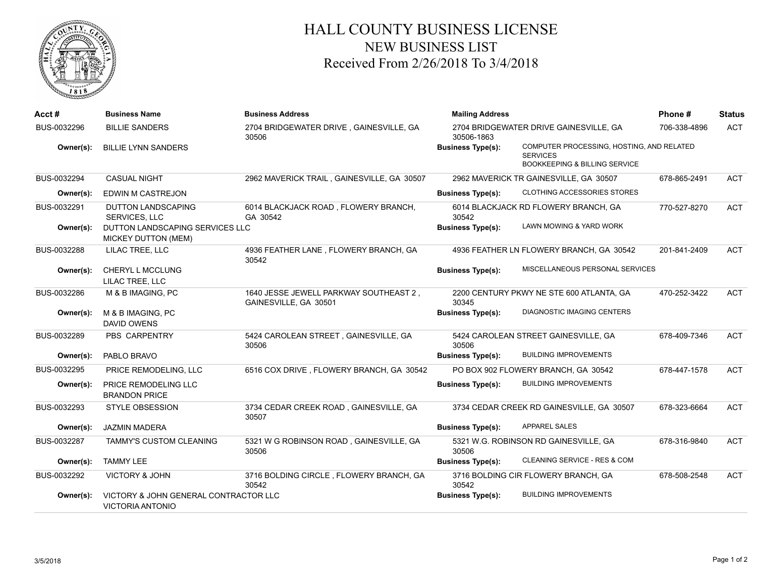

## HALL COUNTY BUSINESS LICENSE NEW BUSINESS LIST Received From 2/26/2018 To 3/4/2018

| Acct#       | <b>Business Name</b>                                             | <b>Business Address</b>                                         | <b>Mailing Address</b>                               |                                                                                                          | Phone#       | <b>Status</b> |
|-------------|------------------------------------------------------------------|-----------------------------------------------------------------|------------------------------------------------------|----------------------------------------------------------------------------------------------------------|--------------|---------------|
| BUS-0032296 | <b>BILLIE SANDERS</b>                                            | 2704 BRIDGEWATER DRIVE, GAINESVILLE, GA<br>30506                | 2704 BRIDGEWATER DRIVE GAINESVILLE, GA<br>30506-1863 |                                                                                                          | 706-338-4896 | <b>ACT</b>    |
| Owner(s):   | <b>BILLIE LYNN SANDERS</b>                                       |                                                                 | <b>Business Type(s):</b>                             | COMPUTER PROCESSING, HOSTING, AND RELATED<br><b>SERVICES</b><br><b>BOOKKEEPING &amp; BILLING SERVICE</b> |              |               |
| BUS-0032294 | <b>CASUAL NIGHT</b>                                              | 2962 MAVERICK TRAIL, GAINESVILLE, GA 30507                      |                                                      | 2962 MAVERICK TR GAINESVILLE, GA 30507                                                                   | 678-865-2491 | <b>ACT</b>    |
| Owner(s):   | EDWIN M CASTREJON                                                |                                                                 | <b>Business Type(s):</b>                             | CLOTHING ACCESSORIES STORES                                                                              |              |               |
| BUS-0032291 | <b>DUTTON LANDSCAPING</b><br><b>SERVICES, LLC</b>                | 6014 BLACKJACK ROAD, FLOWERY BRANCH,<br>GA 30542                | 30542                                                | 6014 BLACKJACK RD FLOWERY BRANCH, GA                                                                     | 770-527-8270 | <b>ACT</b>    |
| Owner(s):   | DUTTON LANDSCAPING SERVICES LLC<br>MICKEY DUTTON (MEM)           |                                                                 | <b>Business Type(s):</b>                             | LAWN MOWING & YARD WORK                                                                                  |              |               |
| BUS-0032288 | LILAC TREE, LLC                                                  | 4936 FEATHER LANE, FLOWERY BRANCH, GA<br>30542                  |                                                      | 4936 FEATHER LN FLOWERY BRANCH, GA 30542                                                                 | 201-841-2409 | <b>ACT</b>    |
| Owner(s):   | CHERYL L MCCLUNG<br>LILAC TREE, LLC                              |                                                                 | <b>Business Type(s):</b>                             | MISCELLANEOUS PERSONAL SERVICES                                                                          |              |               |
| BUS-0032286 | M & B IMAGING, PC                                                | 1640 JESSE JEWELL PARKWAY SOUTHEAST 2,<br>GAINESVILLE, GA 30501 | 30345                                                | 2200 CENTURY PKWY NE STE 600 ATLANTA, GA                                                                 | 470-252-3422 | <b>ACT</b>    |
| Owner(s):   | M & B IMAGING, PC<br><b>DAVID OWENS</b>                          |                                                                 | <b>Business Type(s):</b>                             | <b>DIAGNOSTIC IMAGING CENTERS</b>                                                                        |              |               |
| BUS-0032289 | PBS CARPENTRY                                                    | 5424 CAROLEAN STREET, GAINESVILLE, GA<br>30506                  | 30506                                                | 5424 CAROLEAN STREET GAINESVILLE, GA                                                                     | 678-409-7346 | <b>ACT</b>    |
| Owner(s):   | PABLO BRAVO                                                      |                                                                 | <b>Business Type(s):</b>                             | <b>BUILDING IMPROVEMENTS</b>                                                                             |              |               |
| BUS-0032295 | PRICE REMODELING, LLC                                            | 6516 COX DRIVE, FLOWERY BRANCH, GA 30542                        |                                                      | PO BOX 902 FLOWERY BRANCH, GA 30542                                                                      | 678-447-1578 | <b>ACT</b>    |
| Owner(s):   | PRICE REMODELING LLC<br><b>BRANDON PRICE</b>                     |                                                                 | <b>Business Type(s):</b>                             | <b>BUILDING IMPROVEMENTS</b>                                                                             |              |               |
| BUS-0032293 | <b>STYLE OBSESSION</b>                                           | 3734 CEDAR CREEK ROAD, GAINESVILLE, GA<br>30507                 |                                                      | 3734 CEDAR CREEK RD GAINESVILLE, GA 30507                                                                | 678-323-6664 | <b>ACT</b>    |
| Owner(s):   | <b>JAZMIN MADERA</b>                                             |                                                                 | <b>Business Type(s):</b>                             | <b>APPAREL SALES</b>                                                                                     |              |               |
| BUS-0032287 | TAMMY'S CUSTOM CLEANING                                          | 5321 W G ROBINSON ROAD, GAINESVILLE, GA<br>30506                | 30506                                                | 5321 W.G. ROBINSON RD GAINESVILLE, GA                                                                    | 678-316-9840 | <b>ACT</b>    |
| Owner(s):   | <b>TAMMY LEE</b>                                                 |                                                                 | <b>Business Type(s):</b>                             | <b>CLEANING SERVICE - RES &amp; COM</b>                                                                  |              |               |
| BUS-0032292 | <b>VICTORY &amp; JOHN</b>                                        | 3716 BOLDING CIRCLE, FLOWERY BRANCH, GA<br>30542                | 30542                                                | 3716 BOLDING CIR FLOWERY BRANCH, GA                                                                      | 678-508-2548 | <b>ACT</b>    |
| Owner(s):   | VICTORY & JOHN GENERAL CONTRACTOR LLC<br><b>VICTORIA ANTONIO</b> |                                                                 | <b>Business Type(s):</b>                             | <b>BUILDING IMPROVEMENTS</b>                                                                             |              |               |